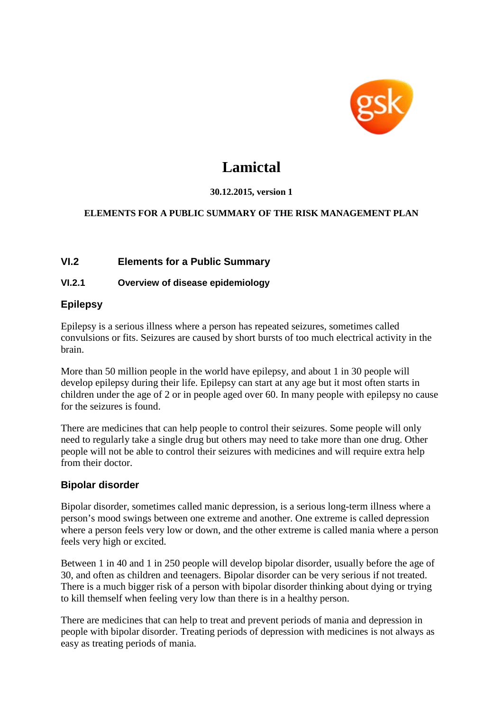

# **Lamictal**

#### **30.12.2015, version 1**

#### **ELEMENTS FOR A PUBLIC SUMMARY OF THE RISK MANAGEMENT PLAN**

# **VI.2 Elements for a Public Summary**

#### **VI.2.1 Overview of disease epidemiology**

# **Epilepsy**

Epilepsy is a serious illness where a person has repeated seizures, sometimes called convulsions or fits. Seizures are caused by short bursts of too much electrical activity in the brain.

More than 50 million people in the world have epilepsy, and about 1 in 30 people will develop epilepsy during their life. Epilepsy can start at any age but it most often starts in children under the age of 2 or in people aged over 60. In many people with epilepsy no cause for the seizures is found.

There are medicines that can help people to control their seizures. Some people will only need to regularly take a single drug but others may need to take more than one drug. Other people will not be able to control their seizures with medicines and will require extra help from their doctor.

#### **Bipolar disorder**

Bipolar disorder, sometimes called manic depression, is a serious long-term illness where a person's mood swings between one extreme and another. One extreme is called depression where a person feels very low or down, and the other extreme is called mania where a person feels very high or excited.

Between 1 in 40 and 1 in 250 people will develop bipolar disorder, usually before the age of 30, and often as children and teenagers. Bipolar disorder can be very serious if not treated. There is a much bigger risk of a person with bipolar disorder thinking about dying or trying to kill themself when feeling very low than there is in a healthy person.

There are medicines that can help to treat and prevent periods of mania and depression in people with bipolar disorder. Treating periods of depression with medicines is not always as easy as treating periods of mania.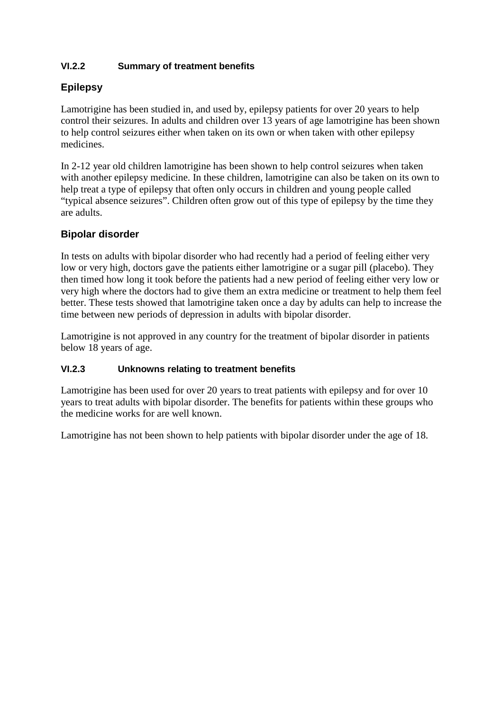# **VI.2.2 Summary of treatment benefits**

# **Epilepsy**

Lamotrigine has been studied in, and used by, epilepsy patients for over 20 years to help control their seizures. In adults and children over 13 years of age lamotrigine has been shown to help control seizures either when taken on its own or when taken with other epilepsy medicines.

In 2-12 year old children lamotrigine has been shown to help control seizures when taken with another epilepsy medicine. In these children, lamotrigine can also be taken on its own to help treat a type of epilepsy that often only occurs in children and young people called "typical absence seizures". Children often grow out of this type of epilepsy by the time they are adults.

# **Bipolar disorder**

In tests on adults with bipolar disorder who had recently had a period of feeling either very low or very high, doctors gave the patients either lamotrigine or a sugar pill (placebo). They then timed how long it took before the patients had a new period of feeling either very low or very high where the doctors had to give them an extra medicine or treatment to help them feel better. These tests showed that lamotrigine taken once a day by adults can help to increase the time between new periods of depression in adults with bipolar disorder.

Lamotrigine is not approved in any country for the treatment of bipolar disorder in patients below 18 years of age.

#### **VI.2.3 Unknowns relating to treatment benefits**

Lamotrigine has been used for over 20 years to treat patients with epilepsy and for over 10 years to treat adults with bipolar disorder. The benefits for patients within these groups who the medicine works for are well known.

Lamotrigine has not been shown to help patients with bipolar disorder under the age of 18.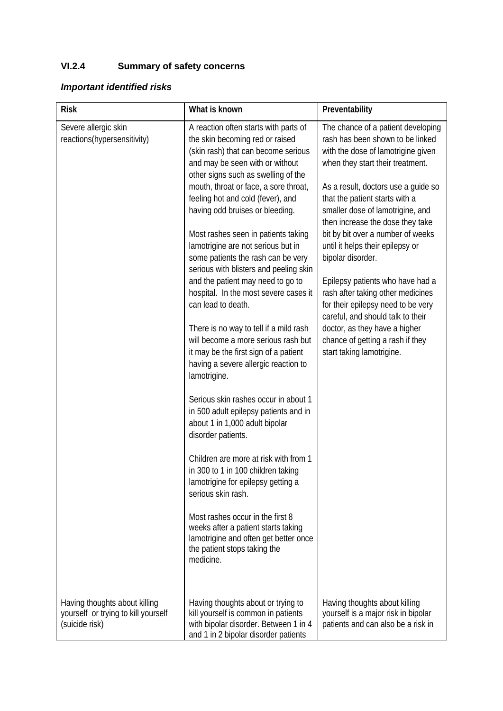# **VI.2.4 Summary of safety concerns**

# *Important identified risks*

| <b>Risk</b>                                                                          | What is known                                                                                                                                                                                                                                                                                                                                                                                                                                                                                                                                                                                                                                                                                                                                                                                                                                                                                                                                                                                                                                                                                                                                                                                                      | Preventability                                                                                                                                                                                                                                                                                                                                                                                                                                                                                                                                                                                                                                                                         |
|--------------------------------------------------------------------------------------|--------------------------------------------------------------------------------------------------------------------------------------------------------------------------------------------------------------------------------------------------------------------------------------------------------------------------------------------------------------------------------------------------------------------------------------------------------------------------------------------------------------------------------------------------------------------------------------------------------------------------------------------------------------------------------------------------------------------------------------------------------------------------------------------------------------------------------------------------------------------------------------------------------------------------------------------------------------------------------------------------------------------------------------------------------------------------------------------------------------------------------------------------------------------------------------------------------------------|----------------------------------------------------------------------------------------------------------------------------------------------------------------------------------------------------------------------------------------------------------------------------------------------------------------------------------------------------------------------------------------------------------------------------------------------------------------------------------------------------------------------------------------------------------------------------------------------------------------------------------------------------------------------------------------|
| Severe allergic skin<br>reactions(hypersensitivity)<br>Having thoughts about killing | A reaction often starts with parts of<br>the skin becoming red or raised<br>(skin rash) that can become serious<br>and may be seen with or without<br>other signs such as swelling of the<br>mouth, throat or face, a sore throat,<br>feeling hot and cold (fever), and<br>having odd bruises or bleeding.<br>Most rashes seen in patients taking<br>lamotrigine are not serious but in<br>some patients the rash can be very<br>serious with blisters and peeling skin<br>and the patient may need to go to<br>hospital. In the most severe cases it<br>can lead to death.<br>There is no way to tell if a mild rash<br>will become a more serious rash but<br>it may be the first sign of a patient<br>having a severe allergic reaction to<br>lamotrigine.<br>Serious skin rashes occur in about 1<br>in 500 adult epilepsy patients and in<br>about 1 in 1,000 adult bipolar<br>disorder patients.<br>Children are more at risk with from 1<br>in 300 to 1 in 100 children taking<br>lamotrigine for epilepsy getting a<br>serious skin rash.<br>Most rashes occur in the first 8<br>weeks after a patient starts taking<br>lamotrigine and often get better once<br>the patient stops taking the<br>medicine. | The chance of a patient developing<br>rash has been shown to be linked<br>with the dose of lamotrigine given<br>when they start their treatment.<br>As a result, doctors use a guide so<br>that the patient starts with a<br>smaller dose of lamotrigine, and<br>then increase the dose they take<br>bit by bit over a number of weeks<br>until it helps their epilepsy or<br>bipolar disorder.<br>Epilepsy patients who have had a<br>rash after taking other medicines<br>for their epilepsy need to be very<br>careful, and should talk to their<br>doctor, as they have a higher<br>chance of getting a rash if they<br>start taking lamotrigine.<br>Having thoughts about killing |
| yourself or trying to kill yourself<br>(suicide risk)                                | Having thoughts about or trying to<br>kill yourself is common in patients<br>with bipolar disorder. Between 1 in 4<br>and 1 in 2 bipolar disorder patients                                                                                                                                                                                                                                                                                                                                                                                                                                                                                                                                                                                                                                                                                                                                                                                                                                                                                                                                                                                                                                                         | yourself is a major risk in bipolar<br>patients and can also be a risk in                                                                                                                                                                                                                                                                                                                                                                                                                                                                                                                                                                                                              |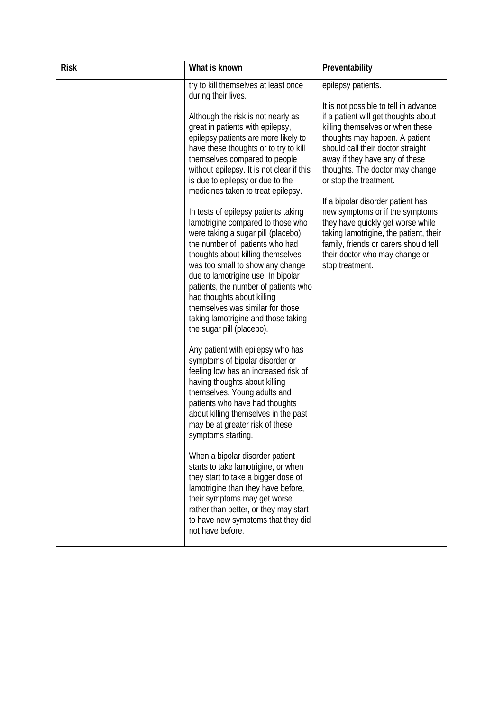| <b>Risk</b> | What is known                                                                                                                                                                                                                                                                                                                                                                                                                                   | Preventability                                                                                                                                                                                                                                   |
|-------------|-------------------------------------------------------------------------------------------------------------------------------------------------------------------------------------------------------------------------------------------------------------------------------------------------------------------------------------------------------------------------------------------------------------------------------------------------|--------------------------------------------------------------------------------------------------------------------------------------------------------------------------------------------------------------------------------------------------|
|             | try to kill themselves at least once<br>during their lives.<br>Although the risk is not nearly as<br>great in patients with epilepsy,<br>epilepsy patients are more likely to<br>have these thoughts or to try to kill<br>themselves compared to people                                                                                                                                                                                         | epilepsy patients.<br>It is not possible to tell in advance<br>if a patient will get thoughts about<br>killing themselves or when these<br>thoughts may happen. A patient<br>should call their doctor straight<br>away if they have any of these |
|             | without epilepsy. It is not clear if this<br>is due to epilepsy or due to the<br>medicines taken to treat epilepsy.                                                                                                                                                                                                                                                                                                                             | thoughts. The doctor may change<br>or stop the treatment.<br>If a bipolar disorder patient has                                                                                                                                                   |
|             | In tests of epilepsy patients taking<br>lamotrigine compared to those who<br>were taking a sugar pill (placebo),<br>the number of patients who had<br>thoughts about killing themselves<br>was too small to show any change<br>due to lamotrigine use. In bipolar<br>patients, the number of patients who<br>had thoughts about killing<br>themselves was similar for those<br>taking lamotrigine and those taking<br>the sugar pill (placebo). | new symptoms or if the symptoms<br>they have quickly get worse while<br>taking lamotrigine, the patient, their<br>family, friends or carers should tell<br>their doctor who may change or<br>stop treatment.                                     |
|             | Any patient with epilepsy who has<br>symptoms of bipolar disorder or<br>feeling low has an increased risk of<br>having thoughts about killing<br>themselves. Young adults and<br>patients who have had thoughts<br>about killing themselves in the past<br>may be at greater risk of these<br>symptoms starting.                                                                                                                                |                                                                                                                                                                                                                                                  |
|             | When a bipolar disorder patient<br>starts to take lamotrigine, or when<br>they start to take a bigger dose of<br>lamotrigine than they have before,<br>their symptoms may get worse<br>rather than better, or they may start<br>to have new symptoms that they did<br>not have before.                                                                                                                                                          |                                                                                                                                                                                                                                                  |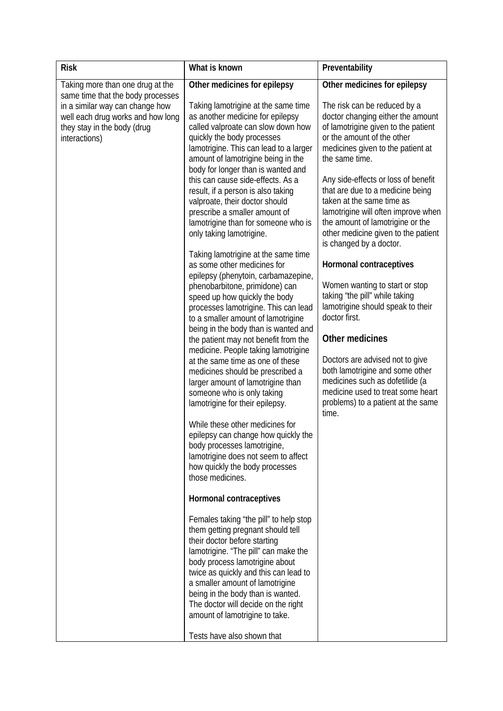| <b>Risk</b>                                                                                                          | What is known                                                                                                                                                                                                                                                                                                                                                                   | Preventability                                                                                                                                                                                                                                    |
|----------------------------------------------------------------------------------------------------------------------|---------------------------------------------------------------------------------------------------------------------------------------------------------------------------------------------------------------------------------------------------------------------------------------------------------------------------------------------------------------------------------|---------------------------------------------------------------------------------------------------------------------------------------------------------------------------------------------------------------------------------------------------|
| Taking more than one drug at the<br>same time that the body processes                                                | Other medicines for epilepsy                                                                                                                                                                                                                                                                                                                                                    | Other medicines for epilepsy                                                                                                                                                                                                                      |
| in a similar way can change how<br>well each drug works and how long<br>they stay in the body (drug<br>interactions) | Taking lamotrigine at the same time<br>as another medicine for epilepsy<br>called valproate can slow down how<br>quickly the body processes<br>lamotrigine. This can lead to a larger<br>amount of lamotrigine being in the<br>body for longer than is wanted and                                                                                                               | The risk can be reduced by a<br>doctor changing either the amount<br>of lamotrigine given to the patient<br>or the amount of the other<br>medicines given to the patient at<br>the same time.                                                     |
|                                                                                                                      | this can cause side-effects. As a<br>result, if a person is also taking<br>valproate, their doctor should<br>prescribe a smaller amount of<br>lamotrigine than for someone who is<br>only taking lamotrigine.                                                                                                                                                                   | Any side-effects or loss of benefit<br>that are due to a medicine being<br>taken at the same time as<br>lamotrigine will often improve when<br>the amount of lamotrigine or the<br>other medicine given to the patient<br>is changed by a doctor. |
|                                                                                                                      | Taking lamotrigine at the same time<br>as some other medicines for<br>epilepsy (phenytoin, carbamazepine,<br>phenobarbitone, primidone) can<br>speed up how quickly the body<br>processes lamotrigine. This can lead<br>to a smaller amount of lamotrigine<br>being in the body than is wanted and                                                                              | Hormonal contraceptives<br>Women wanting to start or stop<br>taking "the pill" while taking<br>lamotrigine should speak to their<br>doctor first.                                                                                                 |
|                                                                                                                      | the patient may not benefit from the<br>medicine. People taking lamotrigine<br>at the same time as one of these<br>medicines should be prescribed a<br>larger amount of lamotrigine than<br>someone who is only taking<br>lamotrigine for their epilepsy.                                                                                                                       | Other medicines<br>Doctors are advised not to give<br>both lamotrigine and some other<br>medicines such as dofetilide (a<br>medicine used to treat some heart<br>problems) to a patient at the same                                               |
|                                                                                                                      | While these other medicines for<br>epilepsy can change how quickly the<br>body processes lamotrigine,<br>lamotrigine does not seem to affect<br>how quickly the body processes<br>those medicines.                                                                                                                                                                              | time.                                                                                                                                                                                                                                             |
|                                                                                                                      | Hormonal contraceptives                                                                                                                                                                                                                                                                                                                                                         |                                                                                                                                                                                                                                                   |
|                                                                                                                      | Females taking "the pill" to help stop<br>them getting pregnant should tell<br>their doctor before starting<br>lamotrigine. "The pill" can make the<br>body process lamotrigine about<br>twice as quickly and this can lead to<br>a smaller amount of lamotrigine<br>being in the body than is wanted.<br>The doctor will decide on the right<br>amount of lamotrigine to take. |                                                                                                                                                                                                                                                   |
|                                                                                                                      | Tests have also shown that                                                                                                                                                                                                                                                                                                                                                      |                                                                                                                                                                                                                                                   |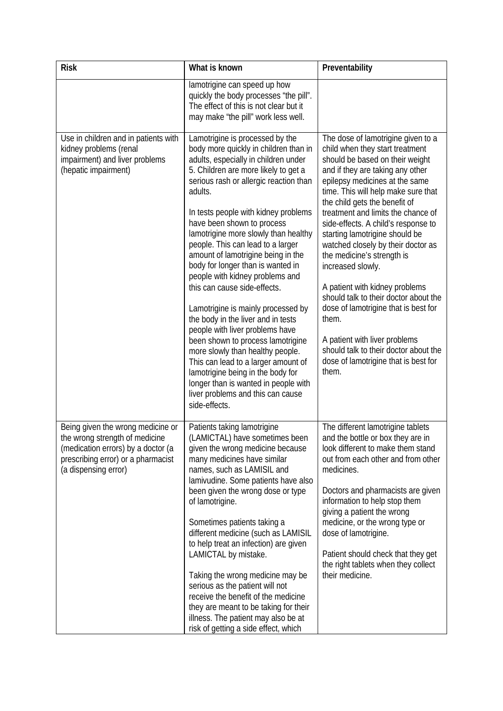| <b>Risk</b>                                                                                                                                                             | What is known                                                                                                                                                                                                                                                                                                                                                                                                                                                                                                                                                                                                                                                                                                                                                                                                                                                                    | Preventability                                                                                                                                                                                                                                                                                                                                                                                                                                                                                                                                                                                                                                                                                                        |
|-------------------------------------------------------------------------------------------------------------------------------------------------------------------------|----------------------------------------------------------------------------------------------------------------------------------------------------------------------------------------------------------------------------------------------------------------------------------------------------------------------------------------------------------------------------------------------------------------------------------------------------------------------------------------------------------------------------------------------------------------------------------------------------------------------------------------------------------------------------------------------------------------------------------------------------------------------------------------------------------------------------------------------------------------------------------|-----------------------------------------------------------------------------------------------------------------------------------------------------------------------------------------------------------------------------------------------------------------------------------------------------------------------------------------------------------------------------------------------------------------------------------------------------------------------------------------------------------------------------------------------------------------------------------------------------------------------------------------------------------------------------------------------------------------------|
|                                                                                                                                                                         | lamotrigine can speed up how<br>quickly the body processes "the pill".<br>The effect of this is not clear but it<br>may make "the pill" work less well.                                                                                                                                                                                                                                                                                                                                                                                                                                                                                                                                                                                                                                                                                                                          |                                                                                                                                                                                                                                                                                                                                                                                                                                                                                                                                                                                                                                                                                                                       |
| Use in children and in patients with<br>kidney problems (renal<br>impairment) and liver problems<br>(hepatic impairment)                                                | Lamotrigine is processed by the<br>body more quickly in children than in<br>adults, especially in children under<br>5. Children are more likely to get a<br>serious rash or allergic reaction than<br>adults.<br>In tests people with kidney problems<br>have been shown to process<br>lamotrigine more slowly than healthy<br>people. This can lead to a larger<br>amount of lamotrigine being in the<br>body for longer than is wanted in<br>people with kidney problems and<br>this can cause side-effects.<br>Lamotrigine is mainly processed by<br>the body in the liver and in tests<br>people with liver problems have<br>been shown to process lamotrigine<br>more slowly than healthy people.<br>This can lead to a larger amount of<br>lamotrigine being in the body for<br>longer than is wanted in people with<br>liver problems and this can cause<br>side-effects. | The dose of lamotrigine given to a<br>child when they start treatment<br>should be based on their weight<br>and if they are taking any other<br>epilepsy medicines at the same<br>time. This will help make sure that<br>the child gets the benefit of<br>treatment and limits the chance of<br>side-effects. A child's response to<br>starting lamotrigine should be<br>watched closely by their doctor as<br>the medicine's strength is<br>increased slowly.<br>A patient with kidney problems<br>should talk to their doctor about the<br>dose of lamotrigine that is best for<br>them.<br>A patient with liver problems<br>should talk to their doctor about the<br>dose of lamotrigine that is best for<br>them. |
| Being given the wrong medicine or<br>the wrong strength of medicine<br>(medication errors) by a doctor (a<br>prescribing error) or a pharmacist<br>(a dispensing error) | Patients taking lamotrigine<br>(LAMICTAL) have sometimes been<br>given the wrong medicine because<br>many medicines have similar<br>names, such as LAMISIL and<br>lamivudine. Some patients have also<br>been given the wrong dose or type<br>of lamotrigine.<br>Sometimes patients taking a<br>different medicine (such as LAMISIL<br>to help treat an infection) are given<br>LAMICTAL by mistake.<br>Taking the wrong medicine may be<br>serious as the patient will not<br>receive the benefit of the medicine<br>they are meant to be taking for their<br>illness. The patient may also be at<br>risk of getting a side effect, which                                                                                                                                                                                                                                       | The different lamotrigine tablets<br>and the bottle or box they are in<br>look different to make them stand<br>out from each other and from other<br>medicines.<br>Doctors and pharmacists are given<br>information to help stop them<br>giving a patient the wrong<br>medicine, or the wrong type or<br>dose of lamotrigine.<br>Patient should check that they get<br>the right tablets when they collect<br>their medicine.                                                                                                                                                                                                                                                                                         |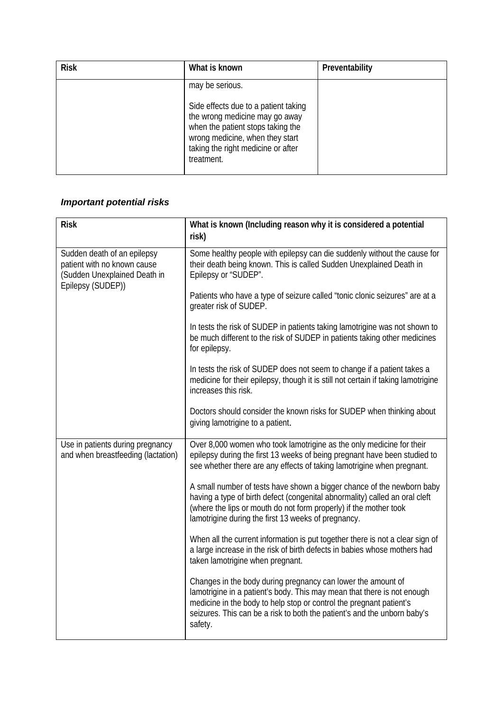| <b>Risk</b> | What is known                                                                                                                                                                                      | Preventability |
|-------------|----------------------------------------------------------------------------------------------------------------------------------------------------------------------------------------------------|----------------|
|             | may be serious.                                                                                                                                                                                    |                |
|             | Side effects due to a patient taking<br>the wrong medicine may go away<br>when the patient stops taking the<br>wrong medicine, when they start<br>taking the right medicine or after<br>treatment. |                |

# *Important potential risks*

| <b>Risk</b>                                                                                                     | What is known (Including reason why it is considered a potential<br>risk)                                                                                                                                                                                                                             |
|-----------------------------------------------------------------------------------------------------------------|-------------------------------------------------------------------------------------------------------------------------------------------------------------------------------------------------------------------------------------------------------------------------------------------------------|
| Sudden death of an epilepsy<br>patient with no known cause<br>(Sudden Unexplained Death in<br>Epilepsy (SUDEP)) | Some healthy people with epilepsy can die suddenly without the cause for<br>their death being known. This is called Sudden Unexplained Death in<br>Epilepsy or "SUDEP".                                                                                                                               |
|                                                                                                                 | Patients who have a type of seizure called "tonic clonic seizures" are at a<br>greater risk of SUDEP.                                                                                                                                                                                                 |
|                                                                                                                 | In tests the risk of SUDEP in patients taking lamotrigine was not shown to<br>be much different to the risk of SUDEP in patients taking other medicines<br>for epilepsy.                                                                                                                              |
|                                                                                                                 | In tests the risk of SUDEP does not seem to change if a patient takes a<br>medicine for their epilepsy, though it is still not certain if taking lamotrigine<br>increases this risk.                                                                                                                  |
|                                                                                                                 | Doctors should consider the known risks for SUDEP when thinking about<br>giving lamotrigine to a patient.                                                                                                                                                                                             |
| Use in patients during pregnancy<br>and when breastfeeding (lactation)                                          | Over 8,000 women who took lamotrigine as the only medicine for their<br>epilepsy during the first 13 weeks of being pregnant have been studied to<br>see whether there are any effects of taking lamotrigine when pregnant.                                                                           |
|                                                                                                                 | A small number of tests have shown a bigger chance of the newborn baby<br>having a type of birth defect (congenital abnormality) called an oral cleft<br>(where the lips or mouth do not form properly) if the mother took<br>lamotrigine during the first 13 weeks of pregnancy.                     |
|                                                                                                                 | When all the current information is put together there is not a clear sign of<br>a large increase in the risk of birth defects in babies whose mothers had<br>taken lamotrigine when pregnant.                                                                                                        |
|                                                                                                                 | Changes in the body during pregnancy can lower the amount of<br>lamotrigine in a patient's body. This may mean that there is not enough<br>medicine in the body to help stop or control the pregnant patient's<br>seizures. This can be a risk to both the patient's and the unborn baby's<br>safety. |